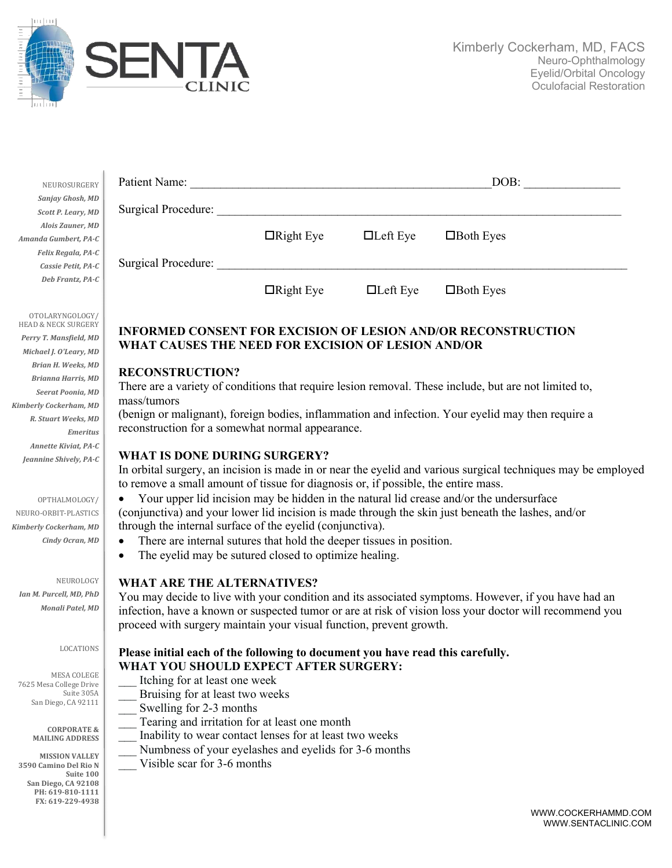

J.

| NEUROSURGERY       | Patient Name:       |                  |                 | DOB:             |  |
|--------------------|---------------------|------------------|-----------------|------------------|--|
| Sanjay Ghosh, MD   |                     |                  |                 |                  |  |
| Scott P. Leary, MD | Surgical Procedure: |                  |                 |                  |  |
| Alois Zauner, MD   |                     |                  |                 |                  |  |
| da Gumbert, PA-C   |                     | $\Box$ Right Eye | $\Box$ Left Eye | $\Box$ Both Eyes |  |
| Felix Regala, PA-C | Surgical Procedure: |                  |                 |                  |  |
| Cassie Petit, PA-C |                     |                  |                 |                  |  |
| Deb Frantz, PA-C   |                     | $\Box$ Right Eye | $\Box$ Left Eye | $\Box$ Both Eyes |  |

# **INFORMED CONSENT FOR EXCISION OF LESION AND/OR RECONSTRUCTION WHAT CAUSES THE NEED FOR EXCISION OF LESION AND/OR**

## **RECONSTRUCTION?**

There are a variety of conditions that require lesion removal. These include, but are not limited to, mass/tumors

(benign or malignant), foreign bodies, inflammation and infection. Your eyelid may then require a reconstruction for a somewhat normal appearance.

#### **WHAT IS DONE DURING SURGERY?**

In orbital surgery, an incision is made in or near the eyelid and various surgical techniques may be employed to remove a small amount of tissue for diagnosis or, if possible, the entire mass.

• Your upper lid incision may be hidden in the natural lid crease and/or the undersurface (conjunctiva) and your lower lid incision is made through the skin just beneath the lashes, and/or through the internal surface of the eyelid (conjunctiva).

- There are internal sutures that hold the deeper tissues in position.
- The eyelid may be sutured closed to optimize healing.

## **WHAT ARE THE ALTERNATIVES?**

You may decide to live with your condition and its associated symptoms. However, if you have had an infection, have a known or suspected tumor or are at risk of vision loss your doctor will recommend you proceed with surgery maintain your visual function, prevent growth.

## **Please initial each of the following to document you have read this carefully. WHAT YOU SHOULD EXPECT AFTER SURGERY:**

- Itching for at least one week
- Bruising for at least two weeks
- Swelling for 2-3 months
- Tearing and irritation for at least one month
- Inability to wear contact lenses for at least two weeks
- Numbness of your eyelashes and eyelids for 3-6 months
- Visible scar for 3-6 months

WWW.COCKERHAMMD.COM WWW.SENTACLINIC.COM

Jeannine Shively, PA-C OPTHALMOLOGY/ NEURO-ORBIT-PLASTICS

*Annette Kiviat, PA-C*

*Emeritus*

OTOLARYNGOLOGY/ HEAD & NECK SURGERY Perry T. Mansfield, MD *Michael J. O'Leary, MD Brian H. Weeks, MD Brianna Harris, MD Seerat Poonia, MD Kimberly Cockerham, MD R. Stuart Weeks, MD*

*Amanda* 

*Kimberly Cockerham, MD Cindy Ocran, MD*

NEUROLOGY *Ian M. Purcell, MD, PhD Monali Patel, MD*

#### LOCATIONS

MESA COLEGE 7625 Mesa College Drive Suite 305A San Diego, CA 92111

> **CORPORATE & MAILING ADDRESS**

**MISSION VALLEY 3590 Camino Del Rio N Suite 100 San Diego, CA 92108 PH: 619-810-1111 FX: 619-229-4938**